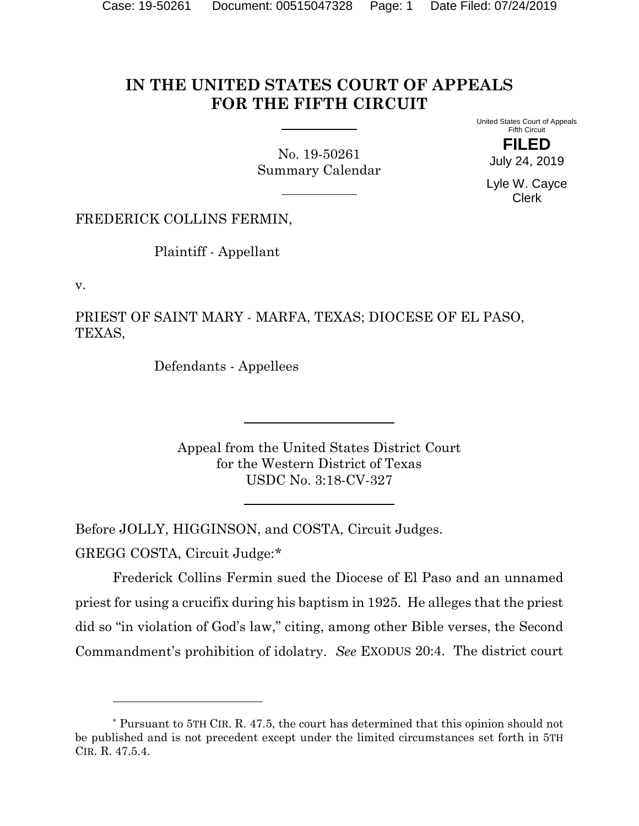## **IN THE UNITED STATES COURT OF APPEALS FOR THE FIFTH CIRCUIT**

No. 19-50261 Summary Calendar United States Court of Appeals Fifth Circuit

> **FILED** July 24, 2019

Lyle W. Cayce Clerk

FREDERICK COLLINS FERMIN,

Plaintiff - Appellant

v.

PRIEST OF SAINT MARY - MARFA, TEXAS; DIOCESE OF EL PASO, TEXAS,

Defendants - Appellees

Appeal from the United States District Court for the Western District of Texas USDC No. 3:18-CV-327

Before JOLLY, HIGGINSON, and COSTA, Circuit Judges.

GREGG COSTA, Circuit Judge:[\\*](#page-0-0)

Frederick Collins Fermin sued the Diocese of El Paso and an unnamed priest for using a crucifix during his baptism in 1925. He alleges that the priest did so "in violation of God's law," citing, among other Bible verses, the Second Commandment's prohibition of idolatry. *See* EXODUS 20:4. The district court

<span id="page-0-0"></span><sup>\*</sup> Pursuant to 5TH CIR. R. 47.5, the court has determined that this opinion should not be published and is not precedent except under the limited circumstances set forth in 5TH CIR. R. 47.5.4.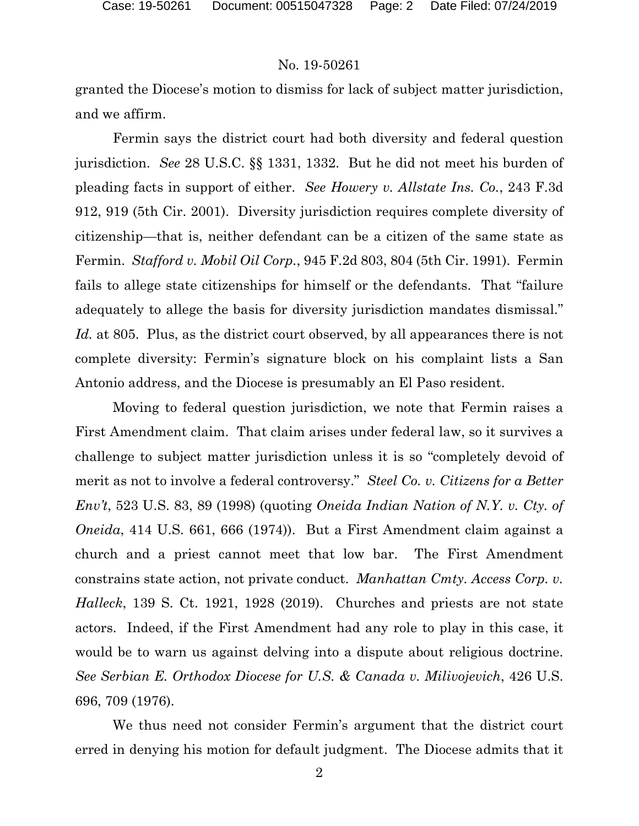## No. 19-50261

granted the Diocese's motion to dismiss for lack of subject matter jurisdiction, and we affirm.

Fermin says the district court had both diversity and federal question jurisdiction. *See* 28 U.S.C. §§ 1331, 1332. But he did not meet his burden of pleading facts in support of either. *See Howery v. Allstate Ins. Co.*, 243 F.3d 912, 919 (5th Cir. 2001). Diversity jurisdiction requires complete diversity of citizenship—that is, neither defendant can be a citizen of the same state as Fermin. *Stafford v. Mobil Oil Corp.*, 945 F.2d 803, 804 (5th Cir. 1991). Fermin fails to allege state citizenships for himself or the defendants. That "failure adequately to allege the basis for diversity jurisdiction mandates dismissal." *Id.* at 805. Plus, as the district court observed, by all appearances there is not complete diversity: Fermin's signature block on his complaint lists a San Antonio address, and the Diocese is presumably an El Paso resident.

Moving to federal question jurisdiction, we note that Fermin raises a First Amendment claim. That claim arises under federal law, so it survives a challenge to subject matter jurisdiction unless it is so "completely devoid of merit as not to involve a federal controversy." *Steel Co. v. Citizens for a Better Env't*, 523 U.S. 83, 89 (1998) (quoting *Oneida Indian Nation of N.Y. v. Cty. of Oneida*, 414 U.S. 661, 666 (1974)). But a First Amendment claim against a church and a priest cannot meet that low bar. The First Amendment constrains state action, not private conduct. *Manhattan Cmty. Access Corp. v. Halleck*, 139 S. Ct. 1921, 1928 (2019). Churches and priests are not state actors. Indeed, if the First Amendment had any role to play in this case, it would be to warn us against delving into a dispute about religious doctrine. *See Serbian E. Orthodox Diocese for U.S. & Canada v. Milivojevich*, 426 U.S. 696, 709 (1976).

We thus need not consider Fermin's argument that the district court erred in denying his motion for default judgment. The Diocese admits that it